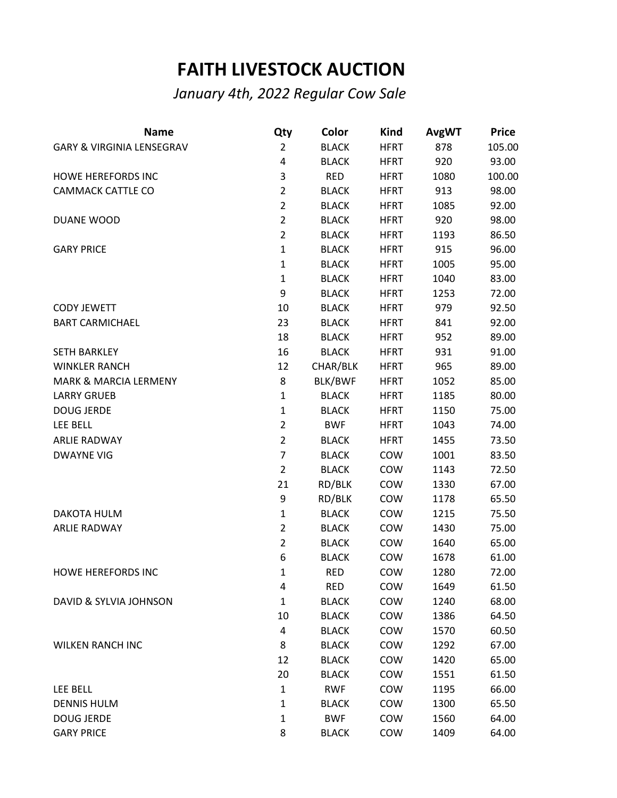## **FAITH LIVESTOCK AUCTION**

*January 4th, 2022 Regular Cow Sale*

| <b>Name</b>                          | Qty            | Color        | <b>Kind</b> | <b>AvgWT</b> | <b>Price</b> |
|--------------------------------------|----------------|--------------|-------------|--------------|--------------|
| <b>GARY &amp; VIRGINIA LENSEGRAV</b> | $\overline{2}$ | <b>BLACK</b> | <b>HFRT</b> | 878          | 105.00       |
|                                      | 4              | <b>BLACK</b> | <b>HFRT</b> | 920          | 93.00        |
| <b>HOWE HEREFORDS INC</b>            | 3              | <b>RED</b>   | <b>HFRT</b> | 1080         | 100.00       |
| CAMMACK CATTLE CO                    | $\overline{2}$ | <b>BLACK</b> | <b>HFRT</b> | 913          | 98.00        |
|                                      | $\overline{2}$ | <b>BLACK</b> | <b>HFRT</b> | 1085         | 92.00        |
| DUANE WOOD                           | $\overline{2}$ | <b>BLACK</b> | <b>HFRT</b> | 920          | 98.00        |
|                                      | $\overline{2}$ | <b>BLACK</b> | <b>HFRT</b> | 1193         | 86.50        |
| <b>GARY PRICE</b>                    | $\mathbf{1}$   | <b>BLACK</b> | <b>HFRT</b> | 915          | 96.00        |
|                                      | $\mathbf{1}$   | <b>BLACK</b> | <b>HFRT</b> | 1005         | 95.00        |
|                                      | $\mathbf{1}$   | <b>BLACK</b> | <b>HFRT</b> | 1040         | 83.00        |
|                                      | 9              | <b>BLACK</b> | <b>HFRT</b> | 1253         | 72.00        |
| <b>CODY JEWETT</b>                   | 10             | <b>BLACK</b> | <b>HFRT</b> | 979          | 92.50        |
| <b>BART CARMICHAEL</b>               | 23             | <b>BLACK</b> | <b>HFRT</b> | 841          | 92.00        |
|                                      | 18             | <b>BLACK</b> | <b>HFRT</b> | 952          | 89.00        |
| <b>SETH BARKLEY</b>                  | 16             | <b>BLACK</b> | <b>HFRT</b> | 931          | 91.00        |
| <b>WINKLER RANCH</b>                 | 12             | CHAR/BLK     | <b>HFRT</b> | 965          | 89.00        |
| <b>MARK &amp; MARCIA LERMENY</b>     | 8              | BLK/BWF      | <b>HFRT</b> | 1052         | 85.00        |
| <b>LARRY GRUEB</b>                   | $\mathbf 1$    | <b>BLACK</b> | <b>HFRT</b> | 1185         | 80.00        |
| <b>DOUG JERDE</b>                    | $\mathbf{1}$   | <b>BLACK</b> | <b>HFRT</b> | 1150         | 75.00        |
| LEE BELL                             | $\overline{2}$ | <b>BWF</b>   | <b>HFRT</b> | 1043         | 74.00        |
| <b>ARLIE RADWAY</b>                  | $\overline{2}$ | <b>BLACK</b> | <b>HFRT</b> | 1455         | 73.50        |
| <b>DWAYNE VIG</b>                    | $\overline{7}$ | <b>BLACK</b> | COW         | 1001         | 83.50        |
|                                      | $\overline{2}$ | <b>BLACK</b> | COW         | 1143         | 72.50        |
|                                      | 21             | RD/BLK       | COW         | 1330         | 67.00        |
|                                      | 9              | RD/BLK       | COW         | 1178         | 65.50        |
| <b>DAKOTA HULM</b>                   | $\mathbf 1$    | <b>BLACK</b> | COW         | 1215         | 75.50        |
| <b>ARLIE RADWAY</b>                  | $\overline{2}$ | <b>BLACK</b> | COW         | 1430         | 75.00        |
|                                      | $\overline{2}$ | <b>BLACK</b> | COW         | 1640         | 65.00        |
|                                      | 6              | <b>BLACK</b> | COW         | 1678         | 61.00        |
| HOWE HEREFORDS INC                   | 1              | <b>RED</b>   | COW         | 1280         | 72.00        |
|                                      | 4              | <b>RED</b>   | COW         | 1649         | 61.50        |
| DAVID & SYLVIA JOHNSON               | $\mathbf{1}$   | <b>BLACK</b> | COW         | 1240         | 68.00        |
|                                      | 10             | <b>BLACK</b> | COW         | 1386         | 64.50        |
|                                      | 4              | <b>BLACK</b> | COW         | 1570         | 60.50        |
| <b>WILKEN RANCH INC</b>              | 8              | <b>BLACK</b> | COW         | 1292         | 67.00        |
|                                      | 12             | <b>BLACK</b> | COW         | 1420         | 65.00        |
|                                      | 20             | <b>BLACK</b> | COW         | 1551         | 61.50        |
| LEE BELL                             | $\mathbf{1}$   | <b>RWF</b>   | COW         | 1195         | 66.00        |
| <b>DENNIS HULM</b>                   | $\mathbf{1}$   | <b>BLACK</b> | COW         | 1300         | 65.50        |
| <b>DOUG JERDE</b>                    | 1              | <b>BWF</b>   | COW         | 1560         | 64.00        |
| <b>GARY PRICE</b>                    | 8              | <b>BLACK</b> | COW         | 1409         | 64.00        |